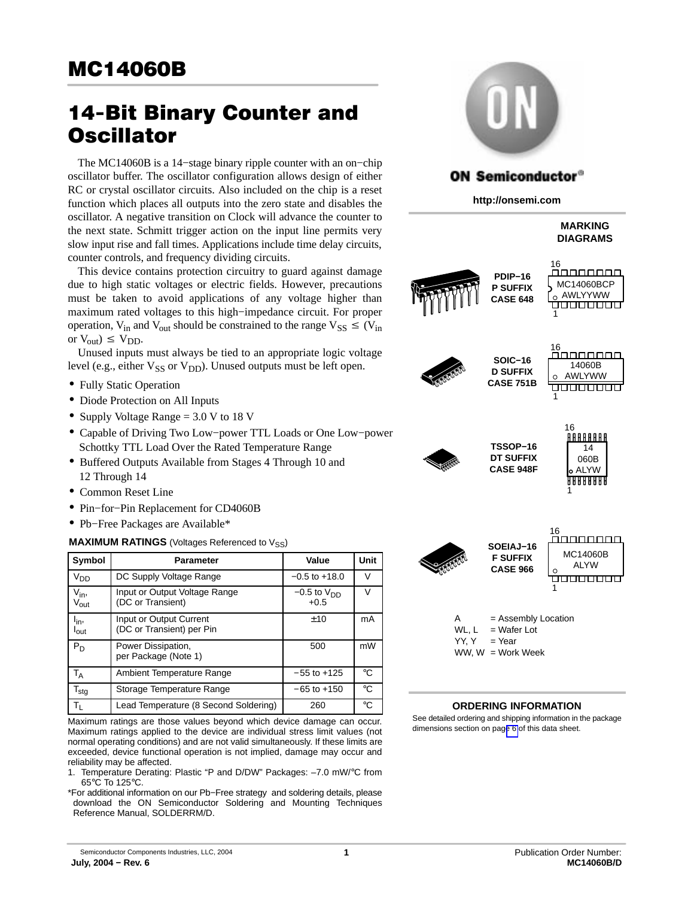# 14−Bit Binary Counter and **Oscillator**

The MC14060B is a 14−stage binary ripple counter with an on−chip oscillator buffer. The oscillator configuration allows design of either RC or crystal oscillator circuits. Also included on the chip is a reset function which places all outputs into the zero state and disables the oscillator. A negative transition on Clock will advance the counter to the next state. Schmitt trigger action on the input line permits very slow input rise and fall times. Applications include time delay circuits, counter controls, and frequency dividing circuits.

This device contains protection circuitry to guard against damage due to high static voltages or electric fields. However, precautions must be taken to avoid applications of any voltage higher than maximum rated voltages to this high−impedance circuit. For proper operation, V<sub>in</sub> and V<sub>out</sub> should be constrained to the range  $V_{SS} \leq (V_{in}$ or  $V_{\text{out}}$ )  $\leq V_{\text{DD}}$ .

Unused inputs must always be tied to an appropriate logic voltage level (e.g., either  $V_{SS}$  or  $V_{DD}$ ). Unused outputs must be left open.

- Fully Static Operation
- Diode Protection on All Inputs
- Supply Voltage Range = 3.0 V to 18 V
- Capable of Driving Two Low−power TTL Loads or One Low−power Schottky TTL Load Over the Rated Temperature Range
- Buffered Outputs Available from Stages 4 Through 10 and 12 Through 14
- Common Reset Line
- Pin−for−Pin Replacement for CD4060B
- Pb−Free Packages are Available\*

#### **MAXIMUM RATINGS** (Voltages Referenced to V<sub>SS</sub>)

| Symbol                           | <b>Parameter</b>                                     | Value                     | Unit        |
|----------------------------------|------------------------------------------------------|---------------------------|-------------|
| V <sub>DD</sub>                  | DC Supply Voltage Range                              | $-0.5$ to $+18.0$         | V           |
| $V_{\text{in}}$<br>$\rm V_{out}$ | Input or Output Voltage Range<br>(DC or Transient)   | $-0.5$ to $VDD$<br>$+0.5$ | V           |
| l <sub>in</sub><br><b>l</b> out  | Input or Output Current<br>(DC or Transient) per Pin | ±10                       | mA          |
| P <sub>D</sub>                   | Power Dissipation,<br>per Package (Note 1)           | 500                       | mW          |
| $T_A$                            | Ambient Temperature Range                            | $-55$ to $+125$           | $^{\circ}C$ |
| $T_{\text{stg}}$                 | Storage Temperature Range                            | $-65$ to $+150$           | °C          |
| $T_{\rm L}$                      | Lead Temperature (8 Second Soldering)                | 260                       | °C          |

Maximum ratings are those values beyond which device damage can occur. Maximum ratings applied to the device are individual stress limit values (not normal operating conditions) and are not valid simultaneously. If these limits are exceeded, device functional operation is not implied, damage may occur and reliability may be affected.

1. Temperature Derating: Plastic "P and D/DW" Packages: –7.0 mW/°C from 65°C To 125°C.

\*For additional information on our Pb−Free strategy and soldering details, please download the ON Semiconductor Soldering and Mounting Techniques Reference Manual, SOLDERRM/D.



# **ON Semiconductor®**

**http://onsemi.com**

#### **MARKING DIAGRAMS**





**TSSOP−16 DT SUFFIX CASE 948F**



16 ananana **SOEIAJ−16** MC14060B **F SUFFIX** ALYW **CASE 966** <del>časosos a</del> 1 = Assembly Location WL,  $L = Water$  Lot  $YY. Y = Year$ 

### WW,  $W =$  Work Week

#### **ORDERING INFORMATION**

See detailed ordering and shipping information in the package dimensions section on pag[e 6](#page-5-0) of this data sheet.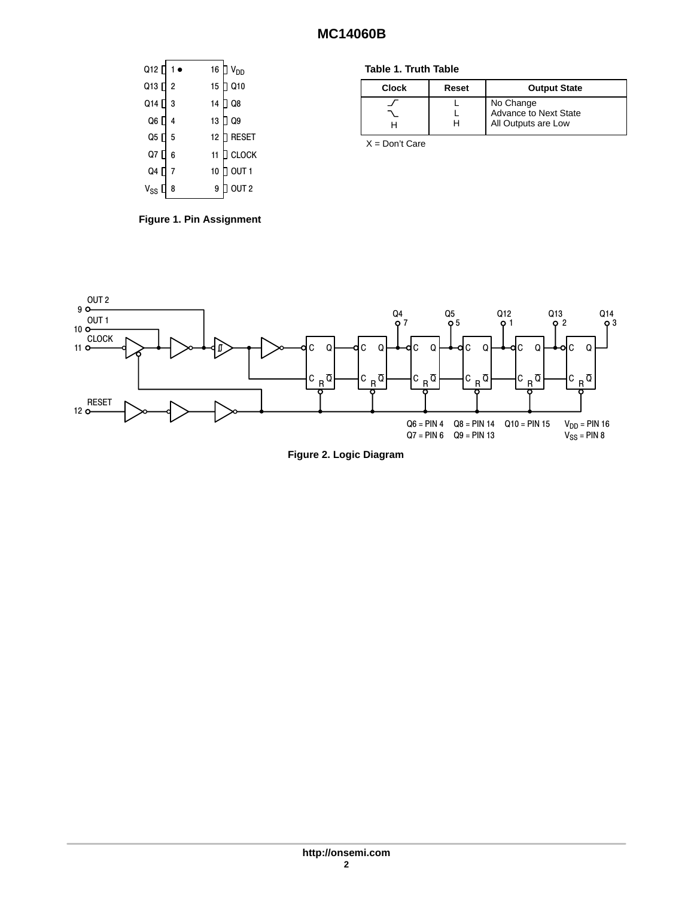| Q12 [ 1 ● |                |    | 16 $\Box$ V <sub>DD</sub> |
|-----------|----------------|----|---------------------------|
| Q13 [     | $\overline{2}$ | 15 | $J$ Q10                   |
| Q14 [     | 3              | 14 | Q8                        |
| Q6 [      | 4              | 13 | Q9                        |
| Q5 [      | 5              | 12 | <b>RESET</b>              |
| Q7 [      | 6              | 11 | <b>CLOCK</b>              |
| Q4 [      |                | 10 | OUT <sub>1</sub>          |
| $V_{SS}$  | 8              | 9  | OUT <sub>2</sub>          |

**Figure 1. Pin Assignment**

#### **Table 1. Truth Table**

| <b>Clock</b> | Reset | <b>Output State</b>                                       |
|--------------|-------|-----------------------------------------------------------|
|              |       | No Change<br>Advance to Next State<br>All Outputs are Low |

X = Don't Care



**Figure 2. Logic Diagram**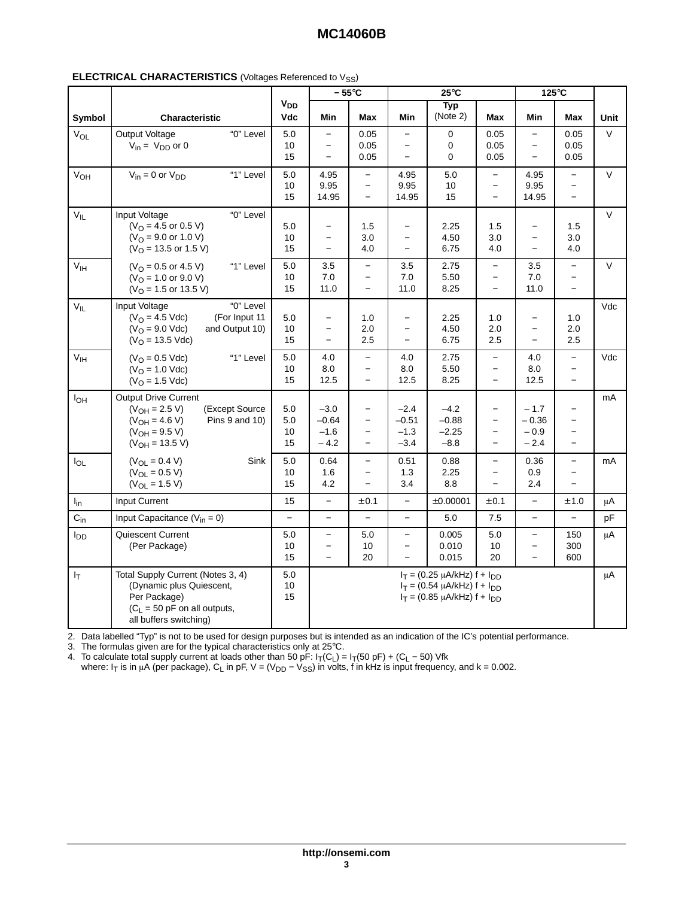|                 |                                                                                                                                                          |                                     |                                                                                  | $-55^{\circ}$ C                                             |                                                                                  | $25^{\circ}$ C                                                                                                    |                                                                              |                                                                  | $125^\circ C$                                                                                |         |
|-----------------|----------------------------------------------------------------------------------------------------------------------------------------------------------|-------------------------------------|----------------------------------------------------------------------------------|-------------------------------------------------------------|----------------------------------------------------------------------------------|-------------------------------------------------------------------------------------------------------------------|------------------------------------------------------------------------------|------------------------------------------------------------------|----------------------------------------------------------------------------------------------|---------|
| Symbol          | <b>Characteristic</b>                                                                                                                                    | <b>V<sub>DD</sub></b><br><b>Vdc</b> | Min                                                                              | <b>Max</b>                                                  | Min                                                                              | <b>Typ</b><br>(Note 2)                                                                                            | <b>Max</b>                                                                   | Min                                                              | <b>Max</b>                                                                                   | Unit    |
| $V_{OL}$        | "0" Level<br>Output Voltage<br>$V_{in} = V_{DD}$ or 0                                                                                                    | 5.0<br>$10$<br>15                   | $-$<br>$\overline{\phantom{0}}$<br>$-$                                           | 0.05<br>0.05<br>0.05                                        | $\overline{\phantom{m}}$<br>$\overline{\phantom{m}}$<br>$\overline{\phantom{0}}$ | $\mathbf 0$<br>$\mathbf 0$<br>$\mathbf 0$                                                                         | 0.05<br>0.05<br>0.05                                                         | $-$<br>$-$<br>$-$                                                | 0.05<br>0.05<br>0.05                                                                         | $\vee$  |
| V <sub>OH</sub> | "1" Level<br>$V_{in} = 0$ or $V_{DD}$                                                                                                                    | 5.0<br>10<br>15                     | 4.95<br>9.95<br>14.95                                                            | $-$<br>$\overline{\phantom{0}}$<br>$\equiv$                 | 4.95<br>9.95<br>14.95                                                            | 5.0<br>10<br>15                                                                                                   | $\equiv$<br>$\overline{\phantom{0}}$<br>$\equiv$                             | 4.95<br>9.95<br>14.95                                            | $\overline{\phantom{0}}$<br>$\overline{\phantom{0}}$<br>$\equiv$                             | $\vee$  |
| $V_{IL}$        | "0" Level<br>Input Voltage<br>$(VO = 4.5$ or 0.5 V)<br>$(VO = 9.0$ or 1.0 V)<br>$(VO = 13.5$ or 1.5 V)                                                   | 5.0<br>10<br>15                     | $\overline{\phantom{a}}$<br>$\overline{\phantom{a}}$<br>$\overline{\phantom{0}}$ | 1.5<br>3.0<br>4.0                                           | $\overline{\phantom{a}}$<br>$\overline{\phantom{a}}$<br>$\equiv$                 | 2.25<br>4.50<br>6.75                                                                                              | 1.5<br>3.0<br>4.0                                                            | $\overline{\phantom{0}}$<br>$\overline{\phantom{m}}$<br>$\equiv$ | 1.5<br>3.0<br>4.0                                                                            | $\vee$  |
| V <sub>IH</sub> | $(VO = 0.5$ or 4.5 V)<br>"1" Level<br>$(VO = 1.0$ or 9.0 V)<br>$(VO = 1.5$ or 13.5 V)                                                                    | 5.0<br>10<br>15                     | 3.5<br>7.0<br>11.0                                                               | $-$<br>$\overline{\phantom{a}}$<br>$\overline{\phantom{a}}$ | 3.5<br>7.0<br>11.0                                                               | 2.75<br>5.50<br>8.25                                                                                              | $\overline{\phantom{0}}$<br>$\equiv$<br>$\equiv$                             | 3.5<br>7.0<br>11.0                                               | $\equiv$<br>$\overline{\phantom{m}}$<br>$\overline{\phantom{m}}$                             | $\vee$  |
| $V_{IL}$        | "0" Level<br>Input Voltage<br>$(VO = 4.5$ Vdc)<br>(For Input 11<br>$(VO = 9.0$ Vdc)<br>and Output 10)<br>$(VO = 13.5 Vdc)$                               | 5.0<br>10<br>15                     | $\overline{\phantom{0}}$<br>$\overline{\phantom{a}}$<br>$-$                      | 1.0<br>2.0<br>2.5                                           | $\overline{\phantom{a}}$<br>$\overline{\phantom{a}}$<br>$\overline{\phantom{a}}$ | 2.25<br>4.50<br>6.75                                                                                              | 1.0<br>2.0<br>2.5                                                            | $\overline{\phantom{a}}$<br>$\overline{\phantom{a}}$<br>$-$      | 1.0<br>2.0<br>2.5                                                                            | Vdc     |
| V <sub>IH</sub> | $(VO = 0.5$ Vdc)<br>"1" Level<br>$(VO = 1.0$ Vdc)<br>$(VO = 1.5$ Vdc)                                                                                    | 5.0<br>10<br>15                     | 4.0<br>8.0<br>12.5                                                               | $-$<br>$\overline{\phantom{0}}$<br>$\equiv$                 | 4.0<br>8.0<br>12.5                                                               | 2.75<br>5.50<br>8.25                                                                                              | $\equiv$<br>$\overline{\phantom{a}}$<br>$\overline{\phantom{a}}$             | 4.0<br>8.0<br>12.5                                               | $\equiv$<br>$\overline{\phantom{0}}$<br>$\equiv$                                             | Vdc     |
| $I_{OH}$        | <b>Output Drive Current</b><br>$(V_{OH} = 2.5 V)$<br>(Except Source<br>$(V_{OH} = 4.6 V)$<br>Pins 9 and 10)<br>$(V_{OH} = 9.5 V)$<br>$(V_{OH} = 13.5 V)$ | 5.0<br>5.0<br>10<br>15              | $-3.0$<br>$-0.64$<br>$-1.6$<br>$-4.2$                                            | $\equiv$<br>$-$<br>$\overline{\phantom{a}}$<br>$\equiv$     | $-2.4$<br>$-0.51$<br>$-1.3$<br>$-3.4$                                            | $-4.2$<br>$-0.88$<br>$-2.25$<br>$-8.8$                                                                            | $\equiv$<br>$\overline{\phantom{0}}$<br>$\overline{\phantom{0}}$<br>$\equiv$ | $-1.7$<br>$-0.36$<br>$-0.9$<br>$-2.4$                            | $\overline{\phantom{a}}$<br>$\overline{\phantom{0}}$<br>$\overline{\phantom{a}}$<br>$\equiv$ | mA      |
| $I_{OL}$        | $(V_{OL} = 0.4 V)$<br>Sink<br>$(V_{OL} = 0.5 V)$<br>$(V_{OL} = 1.5 V)$                                                                                   | $5.0$<br>10<br>15                   | 0.64<br>1.6<br>4.2                                                               | $\overline{\phantom{0}}$<br>$-$<br>$\overline{\phantom{a}}$ | 0.51<br>1.3<br>3.4                                                               | 0.88<br>2.25<br>8.8                                                                                               | $\overline{\phantom{0}}$<br>$\equiv$<br>$\equiv$                             | 0.36<br>0.9<br>2.4                                               | $\equiv$<br>$\overline{\phantom{0}}$<br>$\equiv$                                             | mA      |
| $I_{in}$        | Input Current                                                                                                                                            | 15                                  | $\overline{\phantom{0}}$                                                         | ± 0.1                                                       | $\overline{\phantom{a}}$                                                         | ±0.00001                                                                                                          | ± 0.1                                                                        | $\equiv$                                                         | ± 1.0                                                                                        | $\mu$ A |
| $C_{in}$        | Input Capacitance ( $V_{in} = 0$ )                                                                                                                       | $\equiv$                            | $-$                                                                              | $-$                                                         | $\overline{\phantom{m}}$                                                         | $5.0\,$                                                                                                           | 7.5                                                                          | $\overline{\phantom{0}}$                                         | $\equiv$                                                                                     | pF      |
| $I_{DD}$        | Quiescent Current<br>(Per Package)                                                                                                                       | $5.0$<br>10<br>15                   | $-$<br>$\overline{\phantom{m}}$<br>$\overline{\phantom{0}}$                      | 5.0<br>10<br>20                                             | $\!-$<br>$\overline{\phantom{0}}$<br>$\equiv$                                    | 0.005<br>0.010<br>0.015                                                                                           | 5.0<br>10<br>20                                                              | $\overline{\phantom{0}}$<br>$\overline{\phantom{m}}$             | 150<br>300<br>600                                                                            | $\mu$ A |
| $I_T$           | Total Supply Current (Notes 3, 4)<br>(Dynamic plus Quiescent,<br>Per Package)<br>$(C_L = 50$ pF on all outputs,<br>all buffers switching)                | $5.0\,$<br>10<br>15                 |                                                                                  |                                                             |                                                                                  | $I_T = (0.25 \mu A/kHz) f + I_{DD}$<br>$I_T = (0.54 \mu A/kHz) f + I_{DD}$<br>$I_T = (0.85 \mu A/kHz) f + I_{DD}$ |                                                                              |                                                                  |                                                                                              | $\mu$ A |

2. Data labelled "Typ" is not to be used for design purposes but is intended as an indication of the IC's potential performance.<br>2. The formulas since are for the trained that actual it as attest 0.500.

 3. The formulas given are for the typical characteristics only at 25°C.

4. To calculate total supply current at loads other than 50 pF:  $I_T(C_L) = I_T(50 pF) + (C_L - 50) Vfk$ 

where: I<sub>T</sub> is in µA (per package), C<sub>L</sub> in pF, V = (V<sub>DD</sub> – V<sub>SS</sub>) in volts, f in kHz is input frequency, and k = 0.002.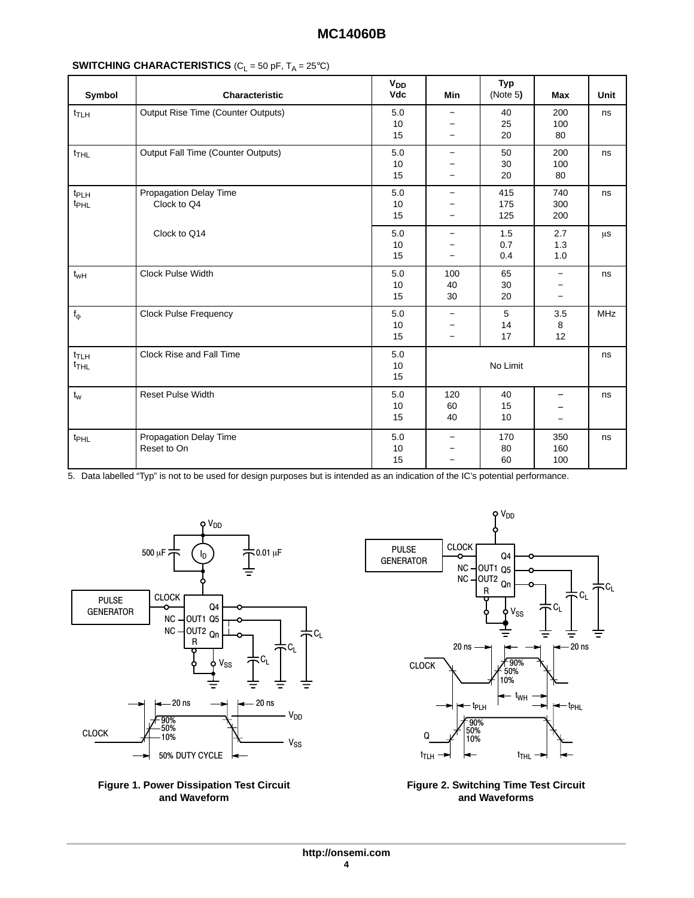| Symbol                               | Characteristic                        | $V_{DD}$<br>Vdc       | Min                                                                | Typ<br>(Note $5$ ) | Max                                                                                  | Unit    |
|--------------------------------------|---------------------------------------|-----------------------|--------------------------------------------------------------------|--------------------|--------------------------------------------------------------------------------------|---------|
| $t$ TLH                              | Output Rise Time (Counter Outputs)    | $5.0$<br>10<br>$15\,$ | $-$<br>—<br>$-$                                                    | 40<br>25<br>20     | 200<br>100<br>80                                                                     | ns      |
| $t_{THL}$                            | Output Fall Time (Counter Outputs)    | $5.0$<br>$10$<br>15   | $-$<br>$\overline{\phantom{0}}$<br>$-$                             | 50<br>30<br>20     | 200<br>100<br>80                                                                     | ns      |
| t <sub>PLH</sub><br>t <sub>PHL</sub> | Propagation Delay Time<br>Clock to Q4 | $5.0$<br>$10$<br>15   | $-$<br>$\qquad \qquad -$<br>$-$                                    | 415<br>175<br>125  | 740<br>300<br>200                                                                    | ns      |
|                                      | Clock to Q14                          | $5.0$<br>10<br>15     | $-$<br>$\qquad \qquad -$<br>$\overline{\phantom{0}}$               | 1.5<br>0.7<br>0.4  | 2.7<br>$1.3$<br>$1.0\,$                                                              | $\mu$ s |
| $t_{wH}$                             | Clock Pulse Width                     | 5.0<br>$10$<br>15     | 100<br>40<br>30                                                    | 65<br>30<br>20     | $\overline{\phantom{0}}$<br>$\overline{\phantom{0}}$                                 | ns      |
| $f_{\varphi}$                        | <b>Clock Pulse Frequency</b>          | $5.0\,$<br>10<br>15   | $-$<br>$\qquad \qquad -$<br>$-$                                    | 5<br>14<br>17      | $3.5\,$<br>8<br>12                                                                   | MHz     |
| $t_{\text{TLH}}$<br>$t_{\text{THL}}$ | Clock Rise and Fall Time              | $5.0$<br>$10$<br>15   |                                                                    | No Limit           |                                                                                      | ns      |
| $t_{w}$                              | Reset Pulse Width                     | $5.0$<br>10<br>15     | 120<br>60<br>40                                                    | 40<br>15<br>10     | $\overline{\phantom{0}}$<br>$\qquad \qquad \blacksquare$<br>$\overline{\phantom{m}}$ | ns      |
| $t_{\text{PHL}}$                     | Propagation Delay Time<br>Reset to On | $5.0$<br>$10$<br>15   | $\qquad \qquad -$<br>$\qquad \qquad -$<br>$\overline{\phantom{0}}$ | 170<br>80<br>60    | 350<br>160<br>100                                                                    | ns      |

      5. Data labelled "Typ" is not to be used for design purposes but is intended as an indication of the IC's potential performance.







#### **Figure 2. Switching Time Test Circuit and Waveforms**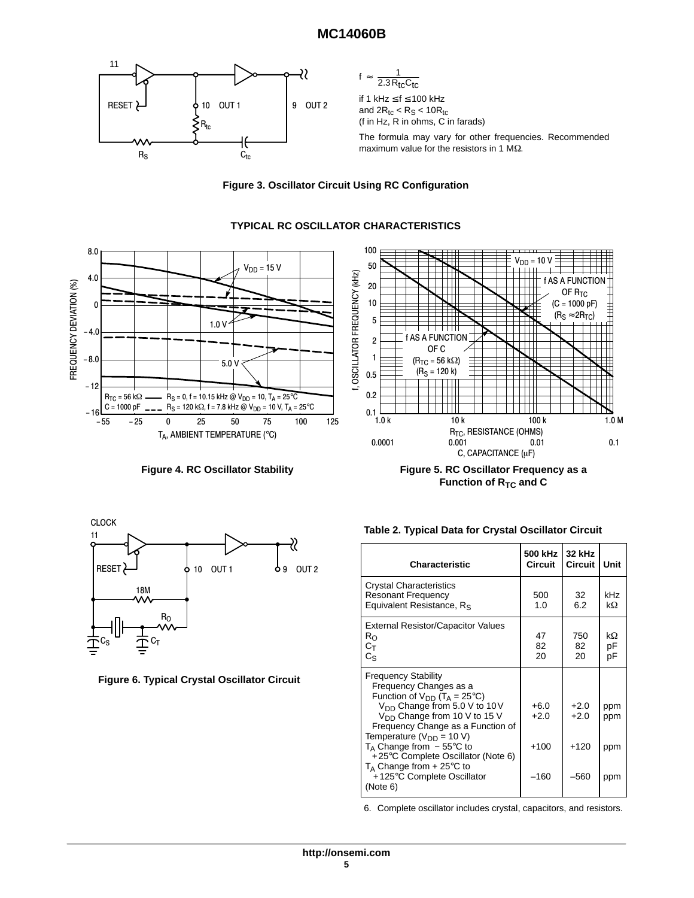







Figure 4. RC Oscillator Stability **Figure 5. RC Oscillator Frequency as a Function of R<sub>TC</sub> and C** 



**Figure 6. Typical Crystal Oscillator Circuit**

#### **Table 2. Typical Data for Crystal Oscillator Circuit**

| <b>Characteristic</b>                                                                                                                                                                                                                                                                                                                                                                                                          | 500 kHz<br><b>Circuit</b>            | 32 kHz<br><b>Circuit</b>             | Unit                     |
|--------------------------------------------------------------------------------------------------------------------------------------------------------------------------------------------------------------------------------------------------------------------------------------------------------------------------------------------------------------------------------------------------------------------------------|--------------------------------------|--------------------------------------|--------------------------|
| <b>Crystal Characteristics</b><br><b>Resonant Frequency</b><br>Equivalent Resistance, R <sub>S</sub>                                                                                                                                                                                                                                                                                                                           | 500<br>1.0                           | 32<br>6.2                            | <b>kHz</b><br>$k\Omega$  |
| <b>External Resistor/Capacitor Values</b><br>$R_{\rm O}$<br>$C_{\mathsf{T}}$<br>$C_{\rm S}$                                                                                                                                                                                                                                                                                                                                    | 47<br>82<br>20                       | 750<br>82<br>20                      | $k\Omega$<br>рF<br>pF    |
| <b>Frequency Stability</b><br>Frequency Changes as a<br>Function of $V_{DD}$ (T <sub>A</sub> = 25°C)<br>$V_{DD}$ Change from 5.0 V to 10 V<br>V <sub>DD</sub> Change from 10 V to 15 V<br>Frequency Change as a Function of<br>Temperature ( $V_{DD}$ = 10 V)<br>$T_A$ Change from $-55^{\circ}$ C to<br>+25°C Complete Oscillator (Note 6)<br>$T_A$ Change from + 25 $\degree$ C to<br>+125°C Complete Oscillator<br>(Note 6) | $+6.0$<br>$+2.0$<br>$+100$<br>$-160$ | $+2.0$<br>$+2.0$<br>$+120$<br>$-560$ | ppm<br>ppm<br>ppm<br>ppm |

6. Complete oscillator includes crystal, capacitors, and resistors.

# **TYPICAL RC OSCILLATOR CHARACTERISTICS**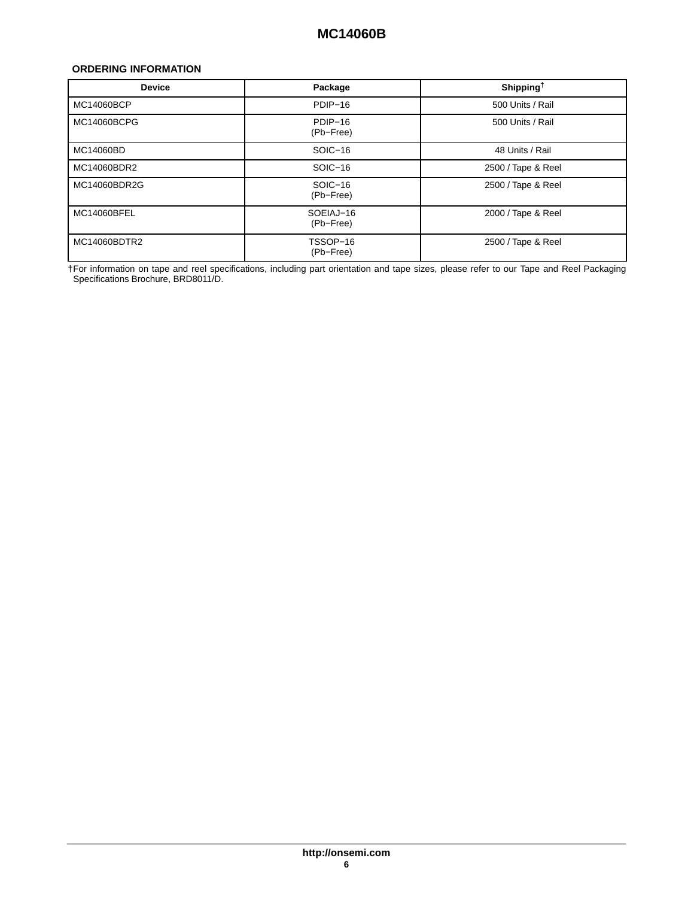#### <span id="page-5-0"></span>**ORDERING INFORMATION**

| <b>Device</b>      | Package                | Shipping <sup>†</sup> |
|--------------------|------------------------|-----------------------|
| MC14060BCP         | PDIP-16                | 500 Units / Rail      |
| MC14060BCPG        | PDIP-16<br>(Pb-Free)   | 500 Units / Rail      |
| MC14060BD          | $SOIC-16$              | 48 Units / Rail       |
| MC14060BDR2        | SOIC-16                | 2500 / Tape & Reel    |
| MC14060BDR2G       | SOIC-16<br>(Pb-Free)   | 2500 / Tape & Reel    |
| <b>MC14060BFEL</b> | SOEIAJ-16<br>(Pb-Free) | 2000 / Tape & Reel    |
| MC14060BDTR2       | TSSOP-16<br>(Pb-Free)  | 2500 / Tape & Reel    |

†For information on tape and reel specifications, including part orientation and tape sizes, please refer to our Tape and Reel Packaging Specifications Brochure, BRD8011/D.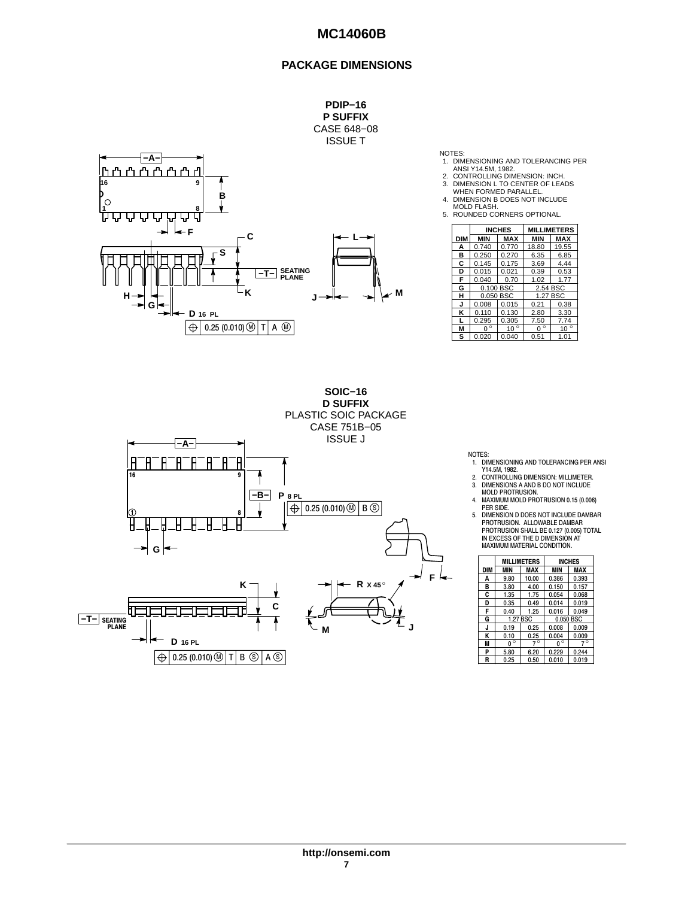#### **PACKAGE DIMENSIONS**



NOTES:

- 1. DIMENSIONING AND TOLERANCING PER
- ANSI Y14.5M, 1982. 2. CONTROLLING DIMENSION: INCH. 3. DIMENSION L TO CENTER OF LEADS
- 
- WHEN FORMED PARALLEL. 4. DIMENSION B DOES NOT INCLUDE
- MOLD FLASH. 5. ROUNDED CORNERS OPTIONAL.

|            |             | <b>INCHES</b> | <b>MILLIMETERS</b> |              |  |
|------------|-------------|---------------|--------------------|--------------|--|
| <b>DIM</b> | <b>MIN</b>  | <b>MAX</b>    | <b>MIN</b>         | <b>MAX</b>   |  |
| А          | 0.740       | 0.770         | 18.80              | 19.55        |  |
| в          | 0.250       | 0.270         | 6.35               | 6.85         |  |
| C          | 0.145       | 0.175         | 3.69               | 4.44         |  |
| D          | 0.015       | 0.021         | 0.39               | 0.53         |  |
| F          | 0.040       | 0.70          | 1.02               | 1.77         |  |
| G          | 0.100 BSC   |               | 2.54 BSC           |              |  |
| н          |             | 0.050 BSC     | 1.27 BSC           |              |  |
| J          | 0.008       | 0.015         | 0.21               | 0.38         |  |
| ĸ          | 0.110       | 0.130         | 2.80               | 3.30         |  |
|            | 0.295       | 0.305         | 7.50               | 7.74         |  |
| М          | $0^{\circ}$ | $10^{\circ}$  | $\circ$<br>U       | $10^{\circ}$ |  |
| S          | 0.020       | 0.040         | 0.51               | 1.01         |  |



- NOTES: 1. DIMENSIONING AND TOLERANCING PER ANSI
- Y14.5M, 1982. 2. CONTROLLING DIMENSION: MILLIMETER. 3. DIMENSIONS A AND B DO NOT INCLUDE MOLD PROTRUSION.
- 4. MAXIMUM MOLD PROTRUSION 0.15 (0.006)
- PER SIDE. 5. DIMENSION D DOES NOT INCLUDE DAMBAR PROTRUSION. ALLOWABLE DAMBAR PROTRUSION SHALL BE 0.127 (0.005) TOTAL IN EXCESS OF THE D DIMENSION AT MAXIMUM MATERIAL CONDITION.

|     |             | <b>MILLIMETERS</b> |             | <b>INCHES</b> |
|-----|-------------|--------------------|-------------|---------------|
| DIM | MIN         | MAX                | MIN         | <b>MAX</b>    |
| A   | 9.80        | 10.00              | 0.386       | 0.393         |
| в   | 3.80        | 4.00               | 0.150       | 0.157         |
| C   | 1.35        | 1.75               | 0.054       | 0.068         |
| D   | 0.35        | 0.49               | 0.014       | 0.019         |
| F   | 0.40        | 1.25               | 0.016       | 0.049         |
| G   |             | 1.27 BSC           |             | 0.050 BSC     |
| J   | 0.19        | 0.25               | 0.008       | 0.009         |
| Κ   | 0.10        | 0.25               | 0.004       | 0.009         |
| M   | $0^{\circ}$ | $7^\circ$          | $0^{\circ}$ | $7^\circ$     |
| P   | 5.80        | 6.20               | 0.229       | 0.244         |
| R   | 0.25        | 0.50               | 0.010       | 0.019         |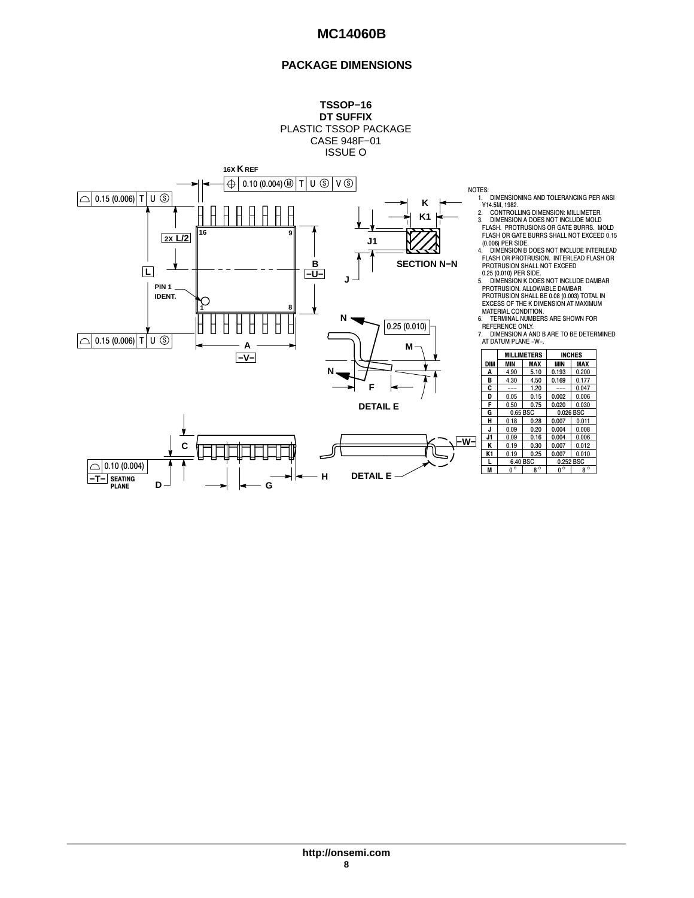### **PACKAGE DIMENSIONS**

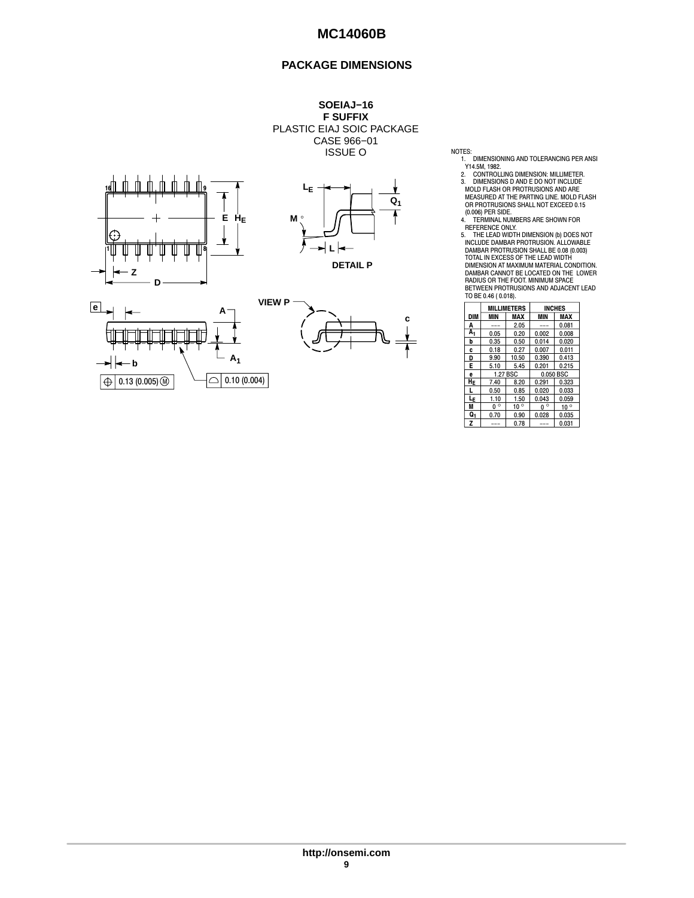#### **PACKAGE DIMENSIONS**

**SOEIAJ−16 F SUFFIX** PLASTIC EIAJ SOIC PACKAGE CASE 966−01 ISSUE O









NOTES:

1. DIMENSIONING AND TOLERANCING PER<br>2. CONTROLLING DIMENSION: MILLIMETER.<br>2. CONTROLLING DIMENSION: MILLIMETER.<br>3. DIMENSIONS D AND E DO NOT INCLUDE<br>MOLD FLASH OR PROTRUSIONS AND ARE 1. DIMENSIONING AND TOLERANCING PER ANSI

MEASURED AT THE PARTING LINE. MOLD FLASH OR PROTRUSIONS SHALL NOT EXCEED 0.15

OR PROTROGIONS GENERAL INTERNATIONS CONSIDER SIDE.<br>4. TERMINAL NUMBERS ARE SHOWN FOR

4. TERMINAL NUMBERS ARE SHOWN FOR<br>REFERENCE ONLY.<br>5. THE LEAD WIDTH DIMENSION (b) DOES NOT<br>INCLUDE DAMBAR PROTRUSION. ALLOWABLE<br>DAMBAR PROTRUSION SHALL BE 0.08 (0.033)<br>TOTAL IN EXCESS OF THE LEAD WIDTH<br>DIMENSION AT MAXIMUM TO BE 0.46 ( 0.018).

|            |             | <b>MILLIMETERS</b> |             | <b>INCHES</b> |  |
|------------|-------------|--------------------|-------------|---------------|--|
| <b>DIM</b> | MIN         | <b>MAX</b>         | <b>MIN</b>  | <b>MAX</b>    |  |
| Α          |             | 2.05               |             | 0.081         |  |
| А,         | 0.05        | 0.20               | 0.002       | 0.008         |  |
| b          | 0.35        | 0.50               | 0.014       | 0.020         |  |
| c          | 0.18        | 0.27               | 0.007       | 0.011         |  |
| D          | 9.90        | 10.50              | 0.390       | 0.413         |  |
| E          | 5.10        | 5.45               | 0.201       | 0.215         |  |
| e          | 1.27 BSC    |                    | 0.050 BSC   |               |  |
| HE         | 7.40        | 8.20               | 0.291       | 0.323         |  |
| L          | 0.50        | 0.85               | 0.020       | 0.033         |  |
| LF.        | 1.10        | 1.50               | 0.043       | 0.059         |  |
| M          | $0^{\circ}$ | $10^{\circ}$       | $0^{\circ}$ | $10^{\circ}$  |  |
| Q,         | 0.70        | 0.90               | 0.028       | 0.035         |  |
| Z          |             | 0.78               |             | 0.031         |  |